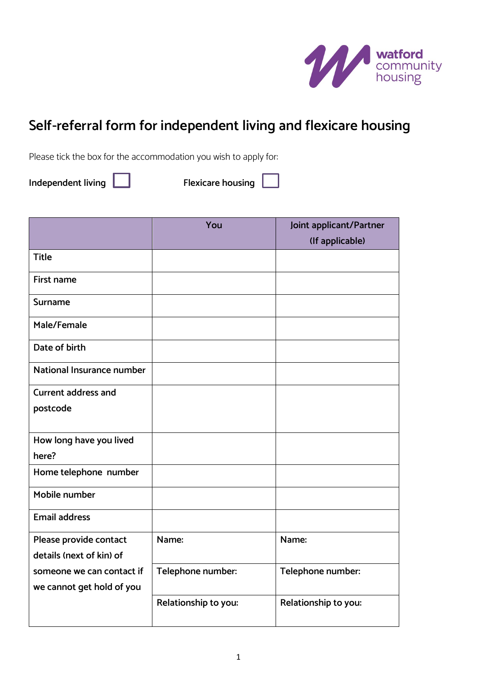

# **Self-referral form for independent living and flexicare housing**

Please tick the box for the accommodation you wish to apply for:

**Independent living Independent living 1** 

|                           | You                  | Joint applicant/Partner |
|---------------------------|----------------------|-------------------------|
|                           |                      | (If applicable)         |
| <b>Title</b>              |                      |                         |
| <b>First name</b>         |                      |                         |
| Surname                   |                      |                         |
| Male/Female               |                      |                         |
| Date of birth             |                      |                         |
| National Insurance number |                      |                         |
| Current address and       |                      |                         |
| postcode                  |                      |                         |
| How long have you lived   |                      |                         |
| here?                     |                      |                         |
| Home telephone number     |                      |                         |
| Mobile number             |                      |                         |
| <b>Email address</b>      |                      |                         |
| Please provide contact    | Name:                | Name:                   |
| details (next of kin) of  |                      |                         |
| someone we can contact if | Telephone number:    | Telephone number:       |
| we cannot get hold of you |                      |                         |
|                           | Relationship to you: | Relationship to you:    |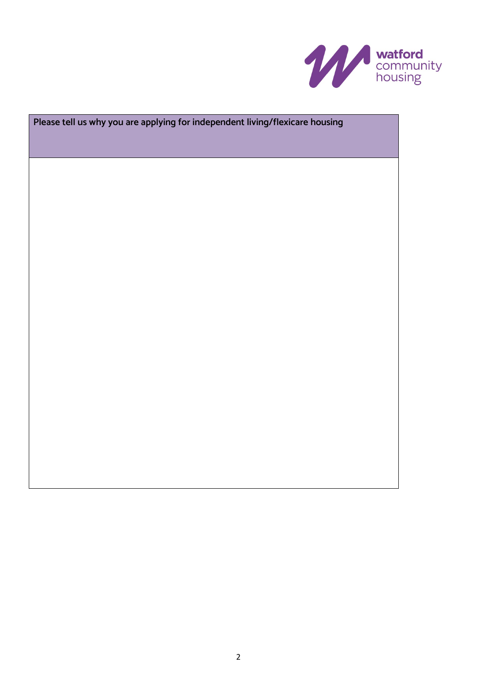

# **Please tell us why you are applying for independent living/flexicare housing**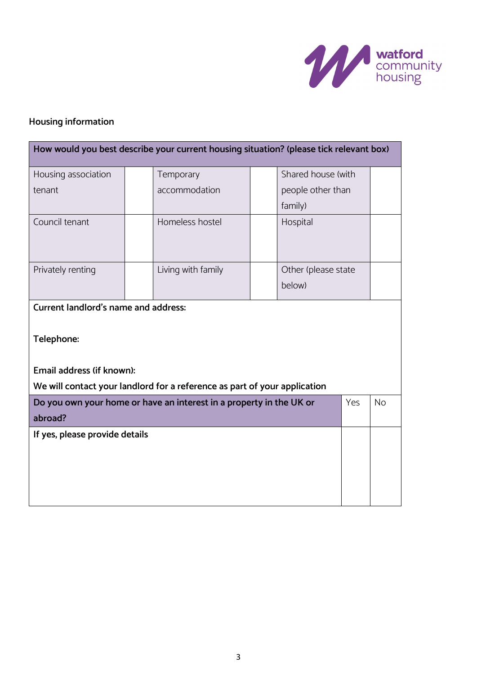

# **Housing information**

|                                                                                        | How would you best describe your current housing situation? (please tick relevant box) |                     |  |           |
|----------------------------------------------------------------------------------------|----------------------------------------------------------------------------------------|---------------------|--|-----------|
| Housing association                                                                    | Temporary                                                                              | Shared house (with  |  |           |
| tenant                                                                                 | accommodation                                                                          | people other than   |  |           |
|                                                                                        |                                                                                        | family)             |  |           |
| Council tenant                                                                         | Homeless hostel                                                                        | Hospital            |  |           |
| Privately renting                                                                      | Living with family                                                                     | Other (please state |  |           |
|                                                                                        |                                                                                        | below)              |  |           |
| <b>Current landlord's name and address:</b><br>Telephone:<br>Email address (if known): | We will contact your landlord for a reference as part of your application              |                     |  |           |
| Do you own your home or have an interest in a property in the UK or<br>Yes<br>abroad?  |                                                                                        |                     |  | <b>No</b> |
| If yes, please provide details                                                         |                                                                                        |                     |  |           |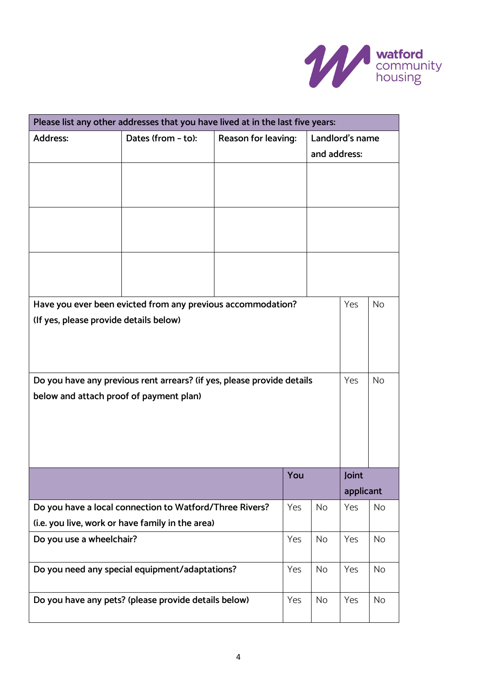

|                                         | Please list any other addresses that you have lived at in the last five years: |                     |     |              |                 |           |
|-----------------------------------------|--------------------------------------------------------------------------------|---------------------|-----|--------------|-----------------|-----------|
| <b>Address:</b>                         | Dates (from - to):                                                             | Reason for leaving: |     | and address: | Landlord's name |           |
|                                         |                                                                                |                     |     |              |                 |           |
|                                         |                                                                                |                     |     |              |                 |           |
|                                         |                                                                                |                     |     |              |                 |           |
|                                         | Have you ever been evicted from any previous accommodation?                    |                     |     |              | Yes             | <b>No</b> |
| (If yes, please provide details below)  |                                                                                |                     |     |              |                 |           |
|                                         | Do you have any previous rent arrears? (if yes, please provide details         |                     |     |              | Yes             | <b>No</b> |
| below and attach proof of payment plan) |                                                                                |                     |     |              |                 |           |
|                                         |                                                                                |                     |     |              |                 |           |
|                                         |                                                                                |                     |     |              |                 |           |
|                                         |                                                                                |                     |     |              |                 |           |
|                                         |                                                                                |                     | You |              | Joint           |           |
|                                         |                                                                                |                     |     |              | applicant       |           |
|                                         | Do you have a local connection to Watford/Three Rivers?                        |                     | Yes | <b>No</b>    | Yes             | <b>No</b> |
|                                         | (i.e. you live, work or have family in the area)                               |                     |     |              |                 |           |
| Do you use a wheelchair?                |                                                                                |                     | Yes | <b>No</b>    | Yes             | <b>No</b> |
|                                         | Do you need any special equipment/adaptations?                                 |                     | Yes | <b>No</b>    | Yes             | <b>No</b> |
|                                         | Do you have any pets? (please provide details below)                           |                     | Yes | <b>No</b>    | Yes             | <b>No</b> |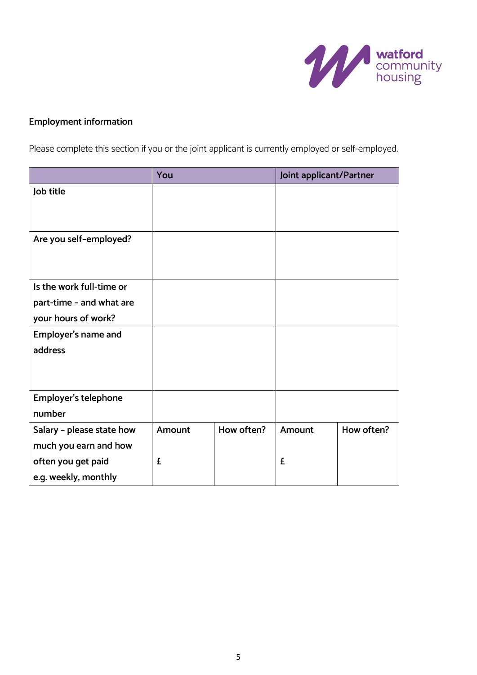

## **Employment information**

Please complete this section if you or the joint applicant is currently employed or self-employed.

|                           | You    |            | Joint applicant/Partner |            |
|---------------------------|--------|------------|-------------------------|------------|
| Job title                 |        |            |                         |            |
|                           |        |            |                         |            |
|                           |        |            |                         |            |
| Are you self-employed?    |        |            |                         |            |
|                           |        |            |                         |            |
|                           |        |            |                         |            |
| Is the work full-time or  |        |            |                         |            |
| part-time - and what are  |        |            |                         |            |
| your hours of work?       |        |            |                         |            |
| Employer's name and       |        |            |                         |            |
| address                   |        |            |                         |            |
|                           |        |            |                         |            |
|                           |        |            |                         |            |
| Employer's telephone      |        |            |                         |            |
| number                    |        |            |                         |            |
| Salary - please state how | Amount | How often? | Amount                  | How often? |
| much you earn and how     |        |            |                         |            |
| often you get paid        | £      |            | £                       |            |
| e.g. weekly, monthly      |        |            |                         |            |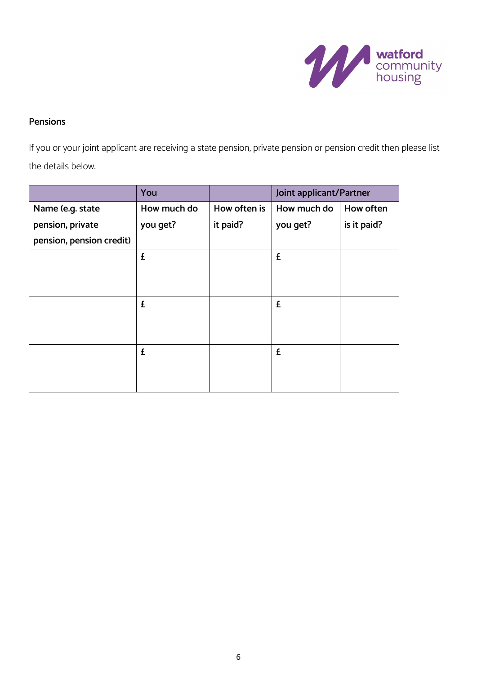

### **Pensions**

If you or your joint applicant are receiving a state pension, private pension or pension credit then please list the details below.

|                          | You         |              | Joint applicant/Partner |             |
|--------------------------|-------------|--------------|-------------------------|-------------|
| Name (e.g. state         | How much do | How often is | How much do             | How often   |
| pension, private         | you get?    | it paid?     | you get?                | is it paid? |
| pension, pension credit) |             |              |                         |             |
|                          | £           |              | £                       |             |
|                          |             |              |                         |             |
|                          |             |              |                         |             |
|                          | £           |              | £                       |             |
|                          |             |              |                         |             |
|                          |             |              |                         |             |
|                          | £           |              | £                       |             |
|                          |             |              |                         |             |
|                          |             |              |                         |             |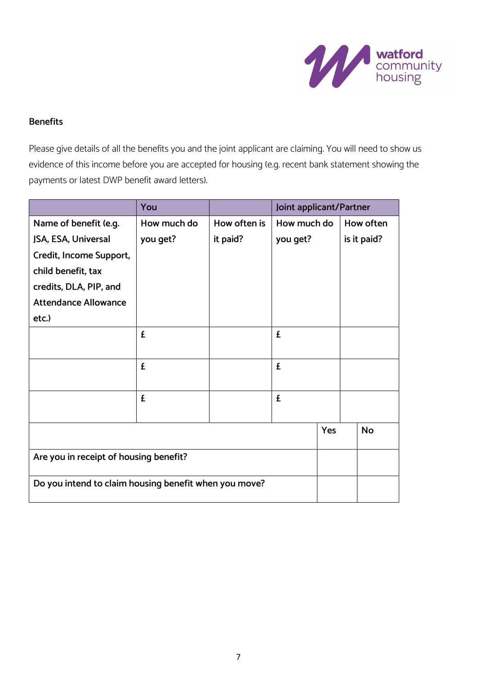

### **Benefits**

Please give details of all the benefits you and the joint applicant are claiming. You will need to show us evidence of this income before you are accepted for housing (e.g. recent bank statement showing the payments or latest DWP benefit award letters).

|                                                       | You         |              | Joint applicant/Partner |     |  |             |
|-------------------------------------------------------|-------------|--------------|-------------------------|-----|--|-------------|
| Name of benefit (e.g.                                 | How much do | How often is | How much do             |     |  | How often   |
| JSA, ESA, Universal                                   | you get?    | it paid?     | you get?                |     |  | is it paid? |
| Credit, Income Support,                               |             |              |                         |     |  |             |
| child benefit, tax                                    |             |              |                         |     |  |             |
| credits, DLA, PIP, and                                |             |              |                         |     |  |             |
| <b>Attendance Allowance</b>                           |             |              |                         |     |  |             |
| etc.)                                                 |             |              |                         |     |  |             |
|                                                       | £           |              | £                       |     |  |             |
|                                                       |             |              |                         |     |  |             |
|                                                       | £           |              | £                       |     |  |             |
|                                                       |             |              |                         |     |  |             |
|                                                       | £           |              | £                       |     |  |             |
|                                                       |             |              |                         |     |  |             |
|                                                       |             |              |                         | Yes |  | <b>No</b>   |
|                                                       |             |              |                         |     |  |             |
| Are you in receipt of housing benefit?                |             |              |                         |     |  |             |
| Do you intend to claim housing benefit when you move? |             |              |                         |     |  |             |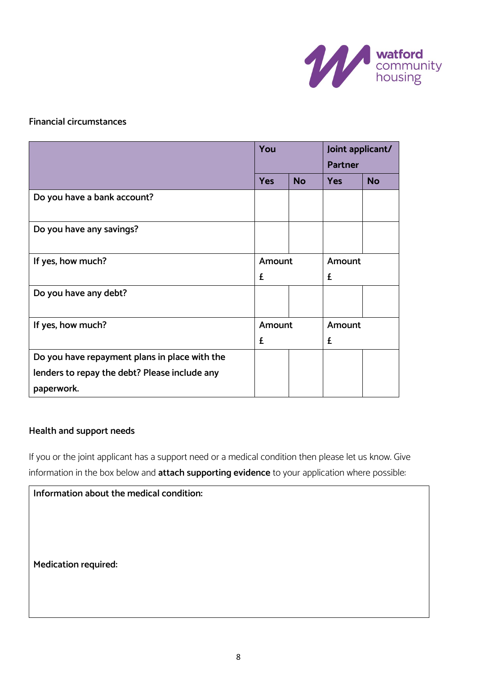

### **Financial circumstances**

|                                               | You        |           | Joint applicant/ |           |
|-----------------------------------------------|------------|-----------|------------------|-----------|
|                                               |            |           | <b>Partner</b>   |           |
|                                               | <b>Yes</b> | <b>No</b> | <b>Yes</b>       | <b>No</b> |
| Do you have a bank account?                   |            |           |                  |           |
| Do you have any savings?                      |            |           |                  |           |
| If yes, how much?                             | Amount     |           | Amount           |           |
|                                               | £          |           | £                |           |
| Do you have any debt?                         |            |           |                  |           |
| If yes, how much?                             | Amount     |           | Amount           |           |
|                                               | £          |           | £                |           |
| Do you have repayment plans in place with the |            |           |                  |           |
| lenders to repay the debt? Please include any |            |           |                  |           |
| paperwork.                                    |            |           |                  |           |

### **Health and support needs**

If you or the joint applicant has a support need or a medical condition then please let us know. Give information in the box below and **attach supporting evidence** to your application where possible:

| Information about the medical condition: |  |
|------------------------------------------|--|
|                                          |  |
|                                          |  |
|                                          |  |
| <b>Medication required:</b>              |  |
|                                          |  |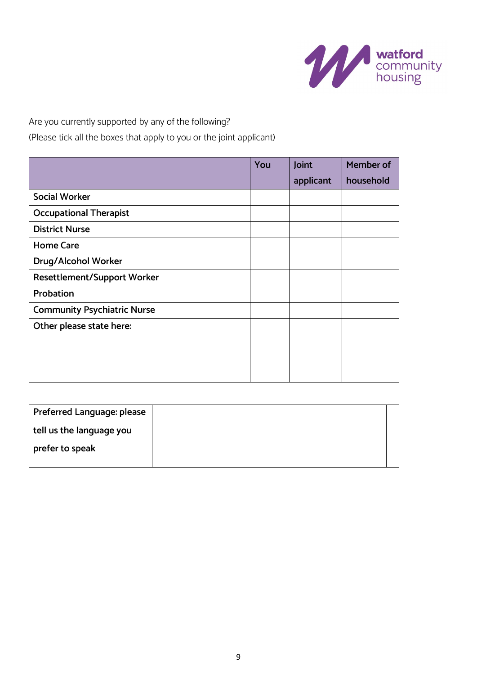

Are you currently supported by any of the following?

(Please tick all the boxes that apply to you or the joint applicant)

|                                    | You | Joint     | Member of |
|------------------------------------|-----|-----------|-----------|
|                                    |     | applicant | household |
| <b>Social Worker</b>               |     |           |           |
| <b>Occupational Therapist</b>      |     |           |           |
| <b>District Nurse</b>              |     |           |           |
| <b>Home Care</b>                   |     |           |           |
| Drug/Alcohol Worker                |     |           |           |
| <b>Resettlement/Support Worker</b> |     |           |           |
| Probation                          |     |           |           |
| <b>Community Psychiatric Nurse</b> |     |           |           |
| Other please state here:           |     |           |           |
|                                    |     |           |           |
|                                    |     |           |           |
|                                    |     |           |           |

| Preferred Language: please |  |
|----------------------------|--|
| tell us the language you   |  |
| prefer to speak            |  |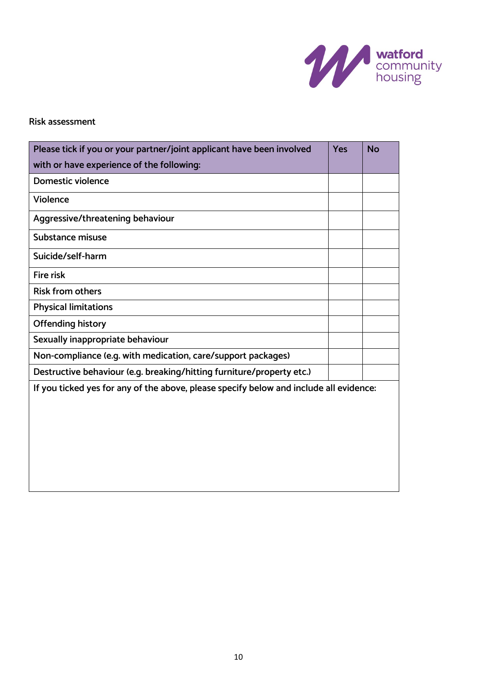

### **Risk assessment**

| Please tick if you or your partner/joint applicant have been involved                  | Yes | <b>No</b> |
|----------------------------------------------------------------------------------------|-----|-----------|
| with or have experience of the following:                                              |     |           |
| <b>Domestic violence</b>                                                               |     |           |
| Violence                                                                               |     |           |
| Aggressive/threatening behaviour                                                       |     |           |
| Substance misuse                                                                       |     |           |
| Suicide/self-harm                                                                      |     |           |
| <b>Fire risk</b>                                                                       |     |           |
| <b>Risk from others</b>                                                                |     |           |
| <b>Physical limitations</b>                                                            |     |           |
| <b>Offending history</b>                                                               |     |           |
| Sexually inappropriate behaviour                                                       |     |           |
| Non-compliance (e.g. with medication, care/support packages)                           |     |           |
| Destructive behaviour (e.g. breaking/hitting furniture/property etc.)                  |     |           |
| If you ticked yes for any of the above, please specify below and include all evidence: |     |           |
|                                                                                        |     |           |
|                                                                                        |     |           |
|                                                                                        |     |           |
|                                                                                        |     |           |
|                                                                                        |     |           |
|                                                                                        |     |           |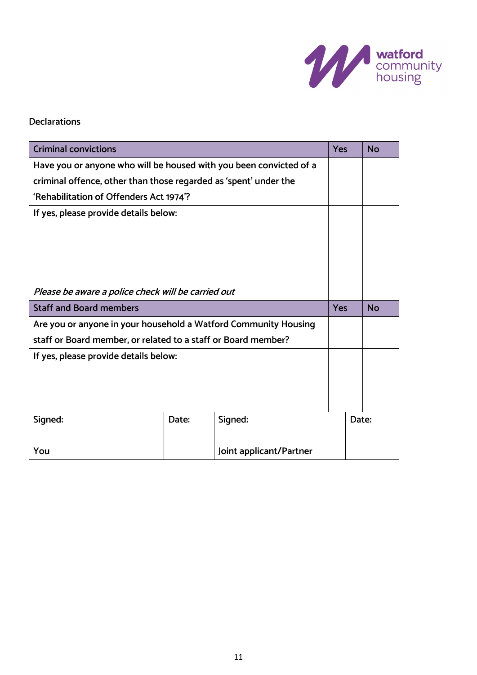

### **Declarations**

| <b>Criminal convictions</b>                                        |       |         | <b>Yes</b> | <b>No</b> |
|--------------------------------------------------------------------|-------|---------|------------|-----------|
| Have you or anyone who will be housed with you been convicted of a |       |         |            |           |
| criminal offence, other than those regarded as 'spent' under the   |       |         |            |           |
| 'Rehabilitation of Offenders Act 1974'?                            |       |         |            |           |
| If yes, please provide details below:                              |       |         |            |           |
|                                                                    |       |         |            |           |
|                                                                    |       |         |            |           |
|                                                                    |       |         |            |           |
| Please be aware a police check will be carried out                 |       |         |            |           |
| <b>Staff and Board members</b>                                     |       |         |            |           |
|                                                                    |       |         | <b>Yes</b> | <b>No</b> |
| Are you or anyone in your household a Watford Community Housing    |       |         |            |           |
| staff or Board member, or related to a staff or Board member?      |       |         |            |           |
| If yes, please provide details below:                              |       |         |            |           |
|                                                                    |       |         |            |           |
|                                                                    |       |         |            |           |
|                                                                    |       |         |            |           |
| Signed:                                                            | Date: | Signed: |            | Date:     |
|                                                                    |       |         |            |           |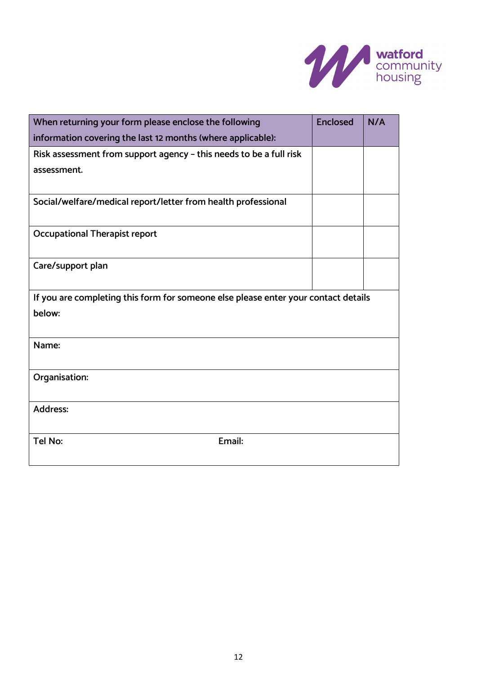

| When returning your form please enclose the following<br>information covering the last 12 months (where applicable): | <b>Enclosed</b> | N/A |  |  |
|----------------------------------------------------------------------------------------------------------------------|-----------------|-----|--|--|
| Risk assessment from support agency - this needs to be a full risk                                                   |                 |     |  |  |
| assessment.                                                                                                          |                 |     |  |  |
| Social/welfare/medical report/letter from health professional                                                        |                 |     |  |  |
| <b>Occupational Therapist report</b>                                                                                 |                 |     |  |  |
| Care/support plan                                                                                                    |                 |     |  |  |
| If you are completing this form for someone else please enter your contact details                                   |                 |     |  |  |
| below:                                                                                                               |                 |     |  |  |
| Name:                                                                                                                |                 |     |  |  |
| Organisation:                                                                                                        |                 |     |  |  |
| <b>Address:</b>                                                                                                      |                 |     |  |  |
| Tel No:<br>Email:                                                                                                    |                 |     |  |  |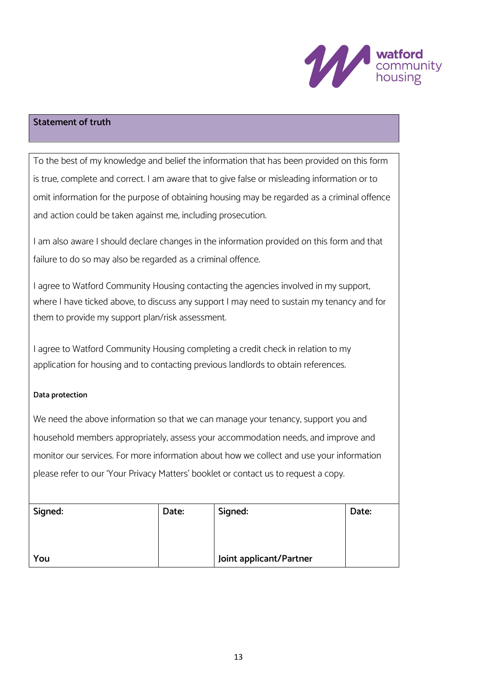

### **Statement of truth**

To the best of my knowledge and belief the information that has been provided on this form is true, complete and correct. I am aware that to give false or misleading information or to omit information for the purpose of obtaining housing may be regarded as a criminal offence and action could be taken against me, including prosecution.

I am also aware I should declare changes in the information provided on this form and that failure to do so may also be regarded as a criminal offence.

I agree to Watford Community Housing contacting the agencies involved in my support, where I have ticked above, to discuss any support I may need to sustain my tenancy and for them to provide my support plan/risk assessment.

I agree to Watford Community Housing completing a credit check in relation to my application for housing and to contacting previous landlords to obtain references.

### **Data protection**

We need the above information so that we can manage your tenancy, support you and household members appropriately, assess your accommodation needs, and improve and monitor our services. For more information about how we collect and use your information please refer to our 'Your Privacy Matters' booklet or contact us to request a copy.

| Signed: | Date: | Signed:                 | Date: |
|---------|-------|-------------------------|-------|
|         |       |                         |       |
|         |       |                         |       |
| You     |       | Joint applicant/Partner |       |